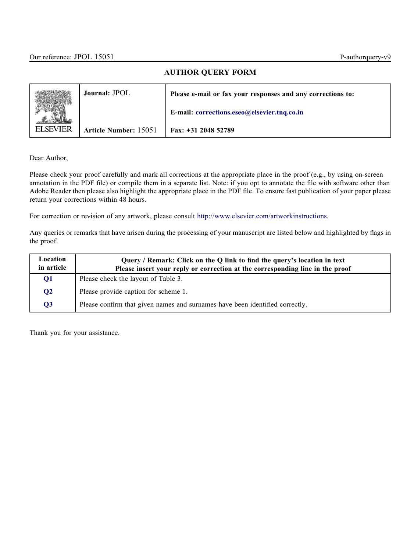# AUTHOR QUERY FORM

<span id="page-0-0"></span>

|                 | Journal: JPOL         | Please e-mail or fax your responses and any corrections to: |
|-----------------|-----------------------|-------------------------------------------------------------|
|                 |                       | E-mail: corrections.eseo@elsevier.tnq.co.in                 |
| <b>ELSEVIER</b> | Article Number: 15051 | Fax: +31 2048 52789                                         |

Dear Author,

Please check your proof carefully and mark all corrections at the appropriate place in the proof (e.g., by using on-screen annotation in the PDF file) or compile them in a separate list. Note: if you opt to annotate the file with software other than Adobe Reader then please also highlight the appropriate place in the PDF file. To ensure fast publication of your paper please return your corrections within 48 hours.

For correction or revision of any artwork, please consult [http://www.elsevier.com/artworkinstructions](mailto:http://www.elsevier.com/artworkinstructions).

Any queries or remarks that have arisen during the processing of your manuscript are listed below and highlighted by flags in the proof.

| Location<br>in article | Query / Remark: Click on the Q link to find the query's location in text<br>Please insert your reply or correction at the corresponding line in the proof |
|------------------------|-----------------------------------------------------------------------------------------------------------------------------------------------------------|
| Q <sub>1</sub>         | Please check the layout of Table 3.                                                                                                                       |
| $\bf Q2$               | Please provide caption for scheme 1.                                                                                                                      |
| $\overline{Q}3$        | Please confirm that given names and surnames have been identified correctly.                                                                              |

Thank you for your assistance.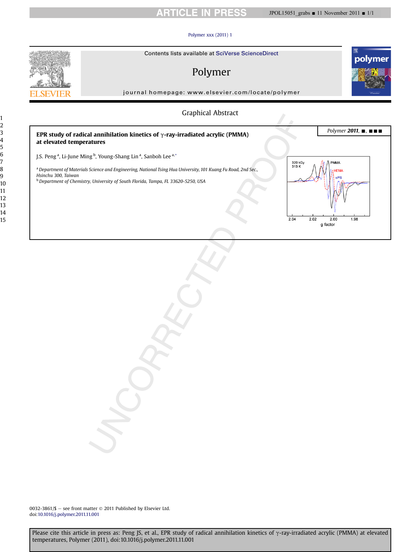# **ARTICLE IN PRESS**

#### [Polymer xxx \(2011\) 1](http://dx.doi.org/10.1016/j.polymer.2011.11.001)



# Polymer

journal homepage: [www.elsevier.com/locate/polymer](http://www.elsevier.com/locate/polymer)



# Graphical Abstract

# EPR study of radical annihilation kinetics of  $\gamma$ -ray-irradiated acrylic (PMMA) at elevated temperatures J.S. Peng<sup>a</sup>, Li-June Ming <sup>b</sup>, Young-Shang Lin <sup>a</sup>, Sanboh Lee <sup>a,[\\*](#page-2-0)</sup> 320 kGy<br>313 K PMMA <sup>a</sup> Department of Materials Science and Engineering, National Tsing Hua University, 101 Kuang Fu Road, 2nd Sec., Hsinchu 300, Taiwan <sup>b</sup> Department of Chemistry, University of South Florida, Tampa, FL 33620-5250, USA  $2.04$  $2.02$  $2.00$ 1.98 g factor

0032-3861/\$  $-$  see front matter  $\odot$  2011 Published by Elsevier Ltd. doi[:10.1016/j.polymer.2011.11.001](http://dx.doi.org/10.1016/j.polymer.2011.11.001)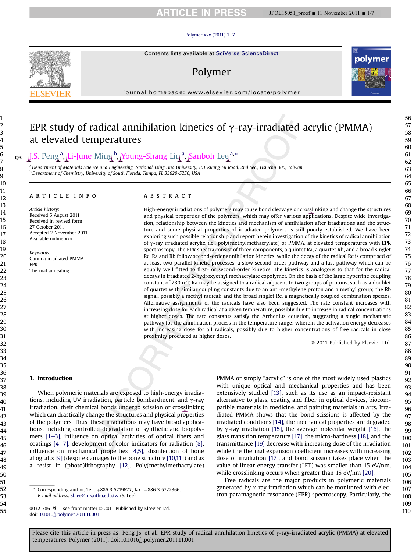**RTICLE IN PRESS** 

#### Polymer xxx  $(2011)$  1-[7](http://dx.doi.org/10.1016/j.polymer.2011.11.001)

# Polymer

journal homepage: [www.elsevier.com/locate/polymer](http://www.elsevier.com/locate/polymer)

# EPR study of radical annihilation kinetics of  $\gamma$ -ray-irradiated acrylic (PMMA) at elevated temperatures

# **[Q3](#page-0-0)** J.S. Peng<sup>a</sup>, Li-June Ming<sup>b</sup>, Young-Shang Lin<sup>a</sup>, Sanboh Leq<sup>a,\*</sup>

a<br><sup>a</sup> Department of Materials Science and Engineering, National Tsing Hua University, 101 Kuang Fu Road, 2nd Sec., Hsinchu 300, Taiwan <sup>b</sup> Department of Chemistry, University of South Florida, Tampa, FL 33620-5250, USA

#### article info

Article history: Received 5 August 2011 Received in revised form 27 October 2011 Accepted 2 November 2011 Available online xxx

Keywords: Gamma irradiated PMMA EPR Thermal annealing

### ABSTRACT

High-energy irradiations of polymers may cause bond cleavage or crosslinking and change the structures and physical properties of the polymers, which may offer various applications. Despite wide investigation, relationship between the kinetics and mechanism of annihilation after irradiations and the structure and some physical properties of irradiated polymers is still poorly established. We have been exploring such possible relationship and report herein investigation of the kinetics of radical annihilation of  $\gamma$ -ray irradiated acrylic, i.e., poly(methylmethacrylate) or PMMA, at elevated temperatures with EPR spectroscopy. The EPR spectra consist of three components, a quintet Ra, a quartet Rb, and a broad singlet Rc. Ra and Rb follow second-order annihilation kinetics, while the decay of the radical Rc is comprised of at least two parallel kinetic processes, a slow second-order pathway and a fast pathway which can be equally well fitted to first- or second-order kinetics. The kinetics is analogous to that for the radical decays in irradiated 2-hydroxyethyl methacrylate copolymer. On the basis of the large hyperfine coupling constant of 230 mT, Ra may be assigned to a radical adjacent to two groups of protons, such as a doublet of quartet with similar coupling constants due to an anti-methylene proton and a methyl group; the Rb signal, possibly a methyl radical; and the broad singlet Rc, a magnetically coupled combination species. Alternative assignments of the radicals have also been suggested. The rate constant increases with increasing dose for each radical at a given temperature, possibly due to increase in radical concentrations at higher doses. The rate constants satisfy the Arrhenius equation, suggesting a single mechanistic pathway for the annihilation process in the temperature range; wherein the activation energy decreases with increasing dose for all radicals, possibly due to higher concentrations of free radicals in close proximity produced at higher doses.

2011 Published by Elsevier Ltd.

#### 1. Introduction

When polymeric materials are exposed to high-energy irradiations, including UV irradiation, particle bombardment, and  $\gamma$ -ray irradiation, their chemical bonds undergo scission or crosslinking which can drastically change the structures and physical properties of the polymers. Thus, these irradiations may have broad applications, including controlled degradation of synthetic and biopolymers  $[1-3]$  $[1-3]$ , influence on optical activities of optical fibers and coatings  $[4-7]$  $[4-7]$  $[4-7]$ , development of color indicators for radiation  $[8]$ , influence on mechanical properties [\[4,5\]](#page-7-0), disinfection of bone allografts [\[9\]](#page-7-0) (despite damages to the bone structure [\[10,11\]\)](#page-7-0) and as a resist in (photo)lithography [\[12\].](#page-7-0) Poly(methylmethacrylate)

Corresponding author. Tel.:  $+886$  3 5719677; fax:  $+886$  3 5722366. E-mail address: [sblee@mx.nthu.edu.tw](mailto:sblee@mx.nthu.edu.tw) (S. Lee).

0032-3861/\$ - see front matter  $\odot$  2011 Published by Elsevier Ltd. doi[:10.1016/j.polymer.2011.11.001](http://dx.doi.org/10.1016/j.polymer.2011.11.001)

PMMA or simply "acrylic" is one of the most widely used plastics with unique optical and mechanical properties and has been extensively studied [\[13\]](#page-7-0), such as its use as an impact-resistant alternative to glass, coating and fiber in optical devices, biocompatible materials in medicine, and painting materials in arts. Irradiated PMMA shows that the bond scissions is affected by the irradiated conditions [\[14\],](#page-7-0) the mechanical properties are degraded by  $\gamma$ -ray irradiation [\[15\],](#page-8-0) the average molecular weight [\[16\],](#page-8-0) the glass transition temperature [\[17\],](#page-8-0) the micro-hardness [\[18\],](#page-8-0) and the transmittance [\[19\]](#page-8-0) decrease with increasing dose of the irradiation while the thermal expansion coefficient increases with increasing dose of irradiation [\[17\]](#page-8-0), and bond scission takes place when the value of linear energy transfer (LET) was smaller than 15 eV/nm, while crosslinking occurs when greater than 15 eV/nm [\[20\]](#page-8-0).

Free radicals are the major products in polymeric materials generated by  $\gamma$ -ray irradiation which can be monitored with electron paramagnetic resonance (EPR) spectroscopy. Particularly, the

109 110

<span id="page-2-0"></span>

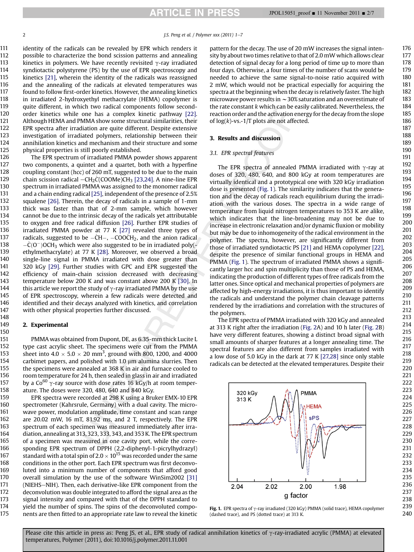<span id="page-3-0"></span>

2  $\mu$  J.S. Peng et al. / Polymer xxx (2011) 1-7

identity of the radicals can be revealed by EPR which renders it possible to characterize the bond scission patterns and annealing kinetics in polymers. We have recently revisited  $\gamma$ -ray irradiated syndiotactic polystyrene (PS) by the use of EPR spectroscopy and kinetics [\[21\]](#page-8-0), wherein the identity of the radicals was reassigned and the annealing of the radicals at elevated temperatures was found to follow first-order kinetics. However, the annealing kinetics in irradiated 2-hydroxyethyl methacrylate (HEMA) copolymer is quite different, in which two radical components follow secondorder kinetics while one has a complex kinetic pathway [\[22\].](#page-8-0) Although HEMA and PMMA show some structural similarities, their EPR spectra after irradiation are quite different. Despite extensive investigation of irradiated polymers, relationship between their annihilation kinetics and mechanism and their structure and some physical properties is still poorly established. 111 112 113 114 115 116 117 118 119 120 121 122 123 124 125

The EPR spectrum of irradiated PMMA powder shows apparent two components, a quintet and a quartet, both with a hyperfine coupling constant (hcc) of 260 mT, suggested to be due to the main chain scission radical  $-CH_2 \dot{C}$ (COOMe)CH<sub>3</sub> [\[23,24\]](#page-8-0). A nine-line EPR spectrum in irradiated PMMA was assigned to the monomer radical and a chain ending radical [\[25\],](#page-8-0) independent of the presence of 2.5% squalene [\[26\]](#page-8-0). Therein, the decay of radicals in a sample of 1-mm thick was faster than that of 2-mm sample, which however cannot be due to the intrinsic decay of the radicals yet attributable to oxygen and free radical diffusion [\[26\]](#page-8-0). Further EPR studies of irradiated PMMA powder at 77 K [\[27\]](#page-8-0) revealed three types of radicals, suggested to be  $-CH-$ ,  $-COOCH<sub>2</sub>$ , and the anion radical  $-C(O^-)OCH_3$  which were also suggested to be in irradiated poly(ethylmethacrylate) at 77 K [\[28\]](#page-8-0). Moreover, we observed a broad single-line signal in PMMA irradiated with dose greater than 320 kGy [\[29\].](#page-8-0) Further studies with GPC and EPR suggested the efficiency of main-chain scission decreased with decreasing temperature below 200 K and was constant above 200 K [\[30\].](#page-8-0) In this article we report the study of  $\gamma$ -ray irradiated PMMA by the use of EPR spectroscopy, wherein a few radicals were detected and identified and their decays analyzed with kinetics, and correlation with other physical properties further discussed. 126 127 128 129 130 131 132 133 134 135 136 137 138 139 140 141 142 143 144 145 146 147

### 2. Experimental

148 149 150

PMMA was obtained from Dupont, DE, as 6.35-mm thick Lucite L type cast acrylic sheet. The specimens were cut from the PMMA sheet into  $4.0 \times 5.0 \times 20$  mm<sup>3</sup>, ground with 800, 1200, and 4000 carbimet papers, and polished with  $1.0 \mu m$  alumina slurries. Then the specimens were annealed at 368 K in air and furnace cooled to room temperature for 24 h, then sealed in glass in air and irradiated by a  $Co^{60}$   $\gamma$ -ray source with dose rates 16 kGy/h at room temperature. The doses were 320, 480, 640 and 840 kGy. 151 152 153 154 155 156 157 158

EPR spectra were recorded at 298 K using a Bruker EMX-10 EPR spectrometer (Kahrsrule, Germany) with a dual cavity. The microwave power, modulation amplitude, time constant and scan range are 20.02 mW, 16 mT, 81.92 ms, and 2 T, respectively. The EPR spectrum of each specimen was measured immediately after irradiation, annealing at 313, 323, 333, 343, and 353 K. The EPR spectrum of a specimen was measured in one cavity port, while the corresponding EPR spectrum of DPPH (2,2-diphenyl-1-picrylhydrazyl) standard with a total spin of  $2.0 \times 10^{15}$  was recorded under the same conditions in the other port. Each EPR spectrum was first deconvoluted into a minimum number of components that afford good overall simulation by the use of the software WinSim2002 [\[31\]](#page-8-0) (NIEHS-NIH). Then, each derivative-like EPR component from the deconvolution was double integrated to afford the signal area as the signal intensity and compared with that of the DPPH standard to yield the number of spins. The spins of the deconvoluted components are then fitted to an appropriate rate law to reveal the kinetic 159 160 161 162 163 164 165 166 167 168 169 170 171 172 173 174 175

pattern for the decay. The use of 20 mW increases the signal intensity by about two times relative to that of 2.0 mW which allows clear detection of signal decay for a long period of time up to more than four days. Otherwise, a four times of the number of scans would be needed to achieve the same signal-to-noise ratio acquired with 2 mW, which would not be practical especially for acquiring the spectra at the beginning when the decay is relatively faster. The high microwave power results in  $\sim$  30% saturation and an overestimate of the rate constant k which can be easily calibrated. Nevertheless, the reaction order and the activation energy for the decay from the slope of  $log(k)$ -vs.-1/T plots are not affected.

## 3. Results and discussion

### 3.1. EPR spectral features

The EPR spectra of annealed PMMA irradiated with  $\gamma$ -ray at doses of 320, 480, 640, and 800 kGy at room temperatures are virtually identical and a prototypical one with 320 kGy irradiation dose is presented (Fig. 1). The similarity indicates that the generation and the decay of radicals reach equilibrium during the irradiation with the various doses. The spectra in a wide range of temperature from liquid nitrogen temperatures to 353 K are alike, which indicates that the line-broadening may not be due to increase in electronic relaxation and/or dynamic fluxion or mobility but may be due to inhomogeneity of the radical environment in the polymer. The spectra, however, are significantly different from those of irradiated syndiotactic PS [\[21\]](#page-8-0) and HEMA copolymer [\[22\],](#page-8-0) despite the presence of similar functional groups in HEMA and PMMA (Fig. 1). The spectrum of irradiated PMMA shows a significantly larger hcc and spin multiplicity than those of PS and HEMA, indicating the production of different types of free radicals from the latter ones. Since optical and mechanical properties of polymers are affected by high-energy irradiations, it is thus important to identify the radicals and understand the polymer chain cleavage patterns rendered by the irradiations and correlation with the structures of the polymers.

The EPR spectra of PMMA irradiated with 320 kGy and annealed at 313 K right after the irradiation ([Fig. 2A](#page-4-0)) and 10 h later ([Fig. 2B](#page-4-0)) have very different features, showing a distinct broad signal with small amounts of sharper features at a longer annealing time. The spectral features are also different from samples irradiated with a low dose of 5.0 kGy in the dark at 77 K [\[27,28\]](#page-8-0) since only stable radicals can be detected at the elevated temperatures. Despite their



Fig. 1. EPR spectra of  $\gamma$ -ray irradiated (320 kGy) PMMA (solid trace), HEMA copolymer (dashed trace), and PS (dotted trace) at 313 K.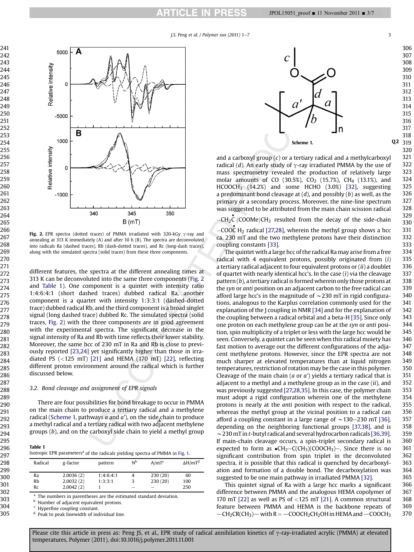$J.S.$  Peng et al. / Polymer xxx (2011) 1–7 3

<span id="page-4-0"></span>

Fig. 2. EPR spectra (dotted traces) of PMMA irradiated with 320-kGy  $\gamma$ -ray and annealing at 313 K immediately (A) and after 10 h (B). The spectra are deconvoluted into radicals Ra (dashed traces), Rb (dash-dotted traces), and Rc (long-dash traces), along with the simulated spectra (solid traces) from these three components.

different features, the spectra at the different annealing times at 313 K can be deconvoluted into the same three components (Fig. 2 and Table 1). One component is a quintet with intensity ratio 1:4:6:4:1 (short dashed traces) dubbed radical Ra, another component is a quartet with intensity 1:3:3:1 (dashed-dotted trace) dubbed radical Rb, and the third component is a broad singlet signal (long dashed trace) dubbed Rc. The simulated spectra (solid traces, Fig. 2) with the three components are in good agreement with the experimental spectra. The significant decrease in the signal intensity of Ra and Rb with time reflects their lower stability. Moreover, the same hcc of 230 mT in Ra and Rb is close to previously reported [\[23,24\]](#page-8-0) yet significantly higher than those in irradiated PS  $\left($  < 125 mT) [\[21\]](#page-8-0) and HEMA (170 mT) [\[22\],](#page-8-0) reflecting different proton environment around the radical which is further discussed below.

#### 3.2. Bond cleavage and assignment of EPR signals

There are four possibilities for bond breakage to occur in PMMA on the main chain to produce a tertiary radical and a methylene radical (Scheme 1, pathways  $a$  and  $a'$ ), on the side chain to produce a methyl radical and a tertiary radical with two adjacent methylene groups (b), and on the carboxyl side chain to yield a methyl group

#### Table 1

|         | Isotropic EPR parameters <sup>a</sup> of the radicals yielding spectra of PMMA in Fig. 1. |           |                          |                   |                 |
|---------|-------------------------------------------------------------------------------------------|-----------|--------------------------|-------------------|-----------------|
| Radical | g-factor                                                                                  | pattern   | N <sub>b</sub>           | A/mT <sup>c</sup> | $\Delta H/mT^d$ |
|         |                                                                                           |           |                          |                   |                 |
| Ra      | 2,0036(2)                                                                                 | 1:4:6:4:1 | 4                        | 230(20)           | 60              |
| Rb      | 2,0032(2)                                                                                 | 1:3:3:1   | ς                        | 230(20)           | 100             |
| Rc      | 2,0042(2)                                                                                 |           | $\overline{\phantom{a}}$ |                   | 250             |
|         |                                                                                           |           |                          |                   |                 |

<sup>a</sup> The numbers in parentheses are the estimated standard deviation.

**b** Number of adjacent equivalent protons.

Hyperfine coupling constant.

<sup>d</sup> Peak to peak linewidth of individual line.



and a carboxyl group  $(c)$  or a tertiary radical and a methylcarboxyl radical (d). An early study of  $\gamma$ -ray irradiated PMMA by the use of mass spectrometry revealed the production of relatively large molar amounts of CO (30.5%), CO<sub>2</sub> (15.7%), CH<sub>4</sub> (13.1%), and HCOOCH3 (14.2%) and some HCHO (3.0%) [\[32\]](#page-8-0), suggesting a predominant bond cleavage at  $(d)$ , and possibly  $(b)$  as well, as the primary or a secondary process. Moreover, the nine-line spectrum was suggested to be attributed from the main chain scission radical

 $-CH_2C$  (COOMe)CH<sub>3</sub> resulted from the decay of the side-chain

 $-COOC$  H<sub>2</sub> radical [\[27,28\],](#page-8-0) wherein the methyl group shows a hcc ca. 230 mT and the two methylene protons have their distinction coupling constants [\[33\]](#page-8-0).

The quintet with a large hcc of the radical Ra may arise from a free radical with 4 equivalent protons, possibly originated from (i) a tertiary radical adjacent to four equivalent protons or  $(ii)$  a doublet of quartet with nearly identical hcc's. In the case  $(i)$  via the cleavage  $pattern(b)$ , a tertiary radical is formed wherein only those protons at the syn or anti position on an adjacent carbon to the free radical can afford large hcc's in the magnitude of  $\sim$  230 mT in rigid configurations, analogous to the Karplus correlation commonly used for the explanation of the J coupling in NMR [\[34\]](#page-8-0) and for the explanation of the coupling between a radical orbital and a beta-H [\[35\]](#page-8-0). Since only one proton on each methylene group can be at the syn or anti position, spin multiplicity of a triplet or less with the large hcc would be seen. Conversely, a quintet can be seen when this radical moiety has fast motion to average out the different configurations of the adjacent methylene protons. However, since the EPR spectra are not much sharper at elevated temperatures than at liquid nitrogen temperatures, restriction of rotation may be the case in this polymer. Cleavage of the main chain ( $a$  or  $a'$ ) yields a tertiary radical that is adjacent to a methyl and a methylene group as in the case  $(ii)$ , and was previously suggested [\[27,28,35\].](#page-8-0) In this case, the polymer chain must adopt a rigid configuration wherein one of the methylene protons is nearly at the anti position with respect to the radical, whereas the methyl group at the vicinal position to a radical can afford a coupling constant in a large range of  $\sim$  130–230 mT [\[36\],](#page-8-0) depending on the neighboring functional groups [\[37,38\],](#page-8-0) and is  $\sim$  230 mT in t-butyl radical and several hydrocarbon radicals [\[36,39\].](#page-8-0) If main-chain cleavage occurs, a spin-triplet secondary radical is expected to form as  $\bullet$ CH<sub>2</sub>–C(CH<sub>3</sub>)(COOCH<sub>3</sub>)–. Since there is no significant contribution from spin triplet in the deconvoluted spectra, it is possible that this radical is quenched by decarboxylation and formation of a double bond. The decarboxylation was suggested to be one main pathway in irradiated PMMA [\[32\]](#page-8-0). 334 335 336 337 338 339 340 341 342 343 344 345 346 347 348 349 350 351 352 353 354 355 356 357 358 359 360 361 362 363 364 365

This quintet signal of Ra with a large hcc marks a significant difference between PMMA and the analogous HEMA copolymer of 170 mT [\[22\]](#page-8-0) as well as PS of  $<$ 125 mT [\[21\].](#page-8-0) A common structural feature between PMMA and HEMA is the backbone repeats of  $-\text{CH}_2\text{CR}(\text{CH}_3)$  with R =  $-\text{COOCH}_2\text{CH}_2\text{OH}$  in HEMA and  $-\text{COOCH}_3$ 366 367 368 369 370

Please cite this article in press as: Peng JS, et al., EPR study of radical annihilation kinetics of  $\gamma$ -ray-irradiated acrylic (PMMA) at elevated temperatures, Polymer (2011), doi:10.1016/j.polymer.2011.11.001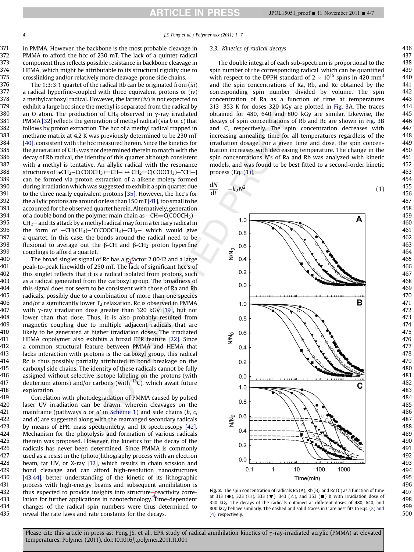<span id="page-5-0"></span>

J.S. Peng et al. / Polymer xxx (2011)  $1-7$ 

in PMMA. However, the backbone is the most probable cleavage in PMMA to afford the hcc of 230 mT. The lack of a quintet radical component thus reflects possible resistance in backbone cleavage in HEMA, which might be attributable to its structural rigidity due to crosslinking and/or relatively more cleavage-prone side chains. 371 372 373 374 375

The 1:3:3:1 quartet of the radical Rb can be originated from (iii) a radical hyperfine-coupled with three equivalent protons or  $(iv)$ a methylcarboxyl radical. However, the latter  $(iv)$  is not expected to exhibit a large hcc since the methyl is separated from the radical by an O atom. The production of CH<sub>4</sub> observed in  $\gamma$ -ray irradiated PMMA [\[32\]](#page-8-0) reflects the generation of methyl radical (via  $b$  or  $c$ ) that follows by proton extraction. The hcc of a methyl radical trapped in methane matrix at 4.2 K was previously determined to be 230 mT [\[40\]](#page-8-0), consistent with the hcc measured herein. Since the kinetics for the generation of  $CH<sub>4</sub>$  was not determined therein to match with the decay of Rb radical, the identity of this quartet although consistent with a methyl is tentative. An allylic radical with the resonance structures of  $[ \bullet CH_2 - C(COOCH_3) = CH - \leftrightarrow CH_2 = C(COOCH_3) - \bullet CH$ can be formed via proton extraction of a alkene moiety formed during irradiation which was suggested to exhibit a spin quartet due to the three nearly equivalent protons [\[35\].](#page-8-0) However, the hcc's for the allylic protons are around or less than  $150$  mT [\[41\],](#page-8-0) too small to be accounted for the observed quartet herein. Alternatively, generation of a double bond on the polymer main chain as  $-CH=C(COOCH<sub>3</sub>)$ - $CH<sub>2</sub>$  and its attack by a methyl radical may form a tertiary radical in the form of  $-CH(CH_3)$ – $\textdegree C(COOCH_3)$ –CH<sub>2</sub>– which would give a quartet. In this case, the bonds around the radical need to be fluxional to average out the  $\beta$ -CH and  $\beta$ -CH<sub>2</sub> proton hyperfine couplings to afford a quartet. 376 377 378 379 380 381 382 383 384 385 386 387 388 389 390 391 392 393 394 395 396 397 398 399

The broad singlet signal of Rc has a  $g_1$  factor 2.0042 and a large peak-to-peak linewidth of 250 mT. The lack of significant hcc's of this singlet reflects that it is a radical isolated from protons, such as a radical generated from the carboxyl group. The broadness of this signal does not seem to be consistent with those of Ra and Rb radicals, possibly due to a combination of more than one species and/or a significantly lower  $T_2$  relaxation. Rc is observed in PMMA with  $\gamma$ -ray irradiation dose greater than 320 kGy [\[19\],](#page-8-0) but not lower than that dose. Thus, it is also probably resulted from magnetic coupling due to multiple adjacent radicals that are likely to be generated at higher irradiation doses. The irradiated HEMA copolymer also exhibits a broad EPR feature [\[22\].](#page-8-0) Since a common structural feature between PMMA and HEMA that lacks interaction with protons is the carboxyl group, this radical Rc is thus possibly partially attributed to bond breakage on the carboxyl side chains. The identity of these radicals cannot be fully assigned without selective isotope labeling on the protons (with deuterium atoms) and/or carbons (with  $^{13}$ C), which await future exploration. 400 401 402 403 404 405 406 407 408 409 410 411 412 413 414 415 416 417 418

Correlation with photodegradation of PMMA caused by pulsed laser UV irradiation can be drawn, wherein cleavages on the mainframe (pathways  $a$  or  $a'$  in [Scheme 1](#page-4-0)) and side chains ( $b$ ,  $c$ , and d) are suggested along with the rearranged secondary radicals by means of EPR, mass spectrometry, and IR spectroscopy [\[42\].](#page-8-0) Mechanism for the photolysis and formation of various radicals therein was proposed. However, the kinetics for the decay of the radicals has never been determined. Since PMMA is commonly used as a resist in the (photo)lithography process with an electron beam, far UV, or X-ray [\[12\],](#page-7-0) which results in chain scission and bond cleavage and can afford high-resolution nanostructures [\[43,44\]](#page-8-0), better understanding of the kinetic of its lithographic process with high-energy beams and subsequent annihilation is thus expected to provide insights into structure $\lnot$  reactivity correlation for further applications in nanotechnology. Time-dependent changes of the radical spin numbers were thus determined to reveal the rate laws and rate constants for the decays. 419 420 421 422 423 424 425 426 427 428 429 430 431 432 433 434 435

### 3.3. Kinetics of radical decays

The double integral of each sub-spectrum is proportional to the spin number of the corresponding radical, which can be quantified with respect to the DPPH standard of  $2 \times 10^{15}$  spins in 420 mm<sup>3</sup> and the spin concentrations of Ra, Rb, and Rc obtained by the corresponding spin number divided by volume. The spin concentration of Ra as a function of time at temperatures  $313-353$  K for doses  $320$  kGy are plotted in Fig. 3A. The traces obtained for 480, 640 and 800 kGy are similar. Likewise, the decays of spin concentrations of Rb and Rc are shown in Fig. 3B and C, respectively. The spin concentration decreases with increasing annealing time for all temperatures regardless of the irradiation dosage. For a given time and dose, the spin concentration increases with decreasing temperature. The change in the spin concentrations N's of Ra and Rb was analyzed with kinetic models, and was found to be best fitted to a second-order kinetic process (Eq. (1)),





Fig. 3. The spin concentration of radicals  $Ra(A)$ ,  $Rb(B)$ , and  $Rc(C)$  as a function of time at 313 ( $\bullet$ ), 323 ( $\circ$ ), 333 ( $\blacktriangledown$ ), 343 ( $\triangle$ ), and 353 ( $\blacksquare$ ) K with irradiation dose of 320 kGy. The decays of the radicals obtained at different doses of 480, 640, and 800 kGy behave similarly. The dashed and solid traces in C are best fits to Eqs. [\(2\) and](#page-6-0) [\(4\)](#page-6-0), respectively.

500

436 437 438

Please cite this article in press as: Peng JS, et al., EPR study of radical annihilation kinetics of  $\gamma$ -ray-irradiated acrylic (PMMA) at elevated temperatures, Polymer (2011), doi:10.1016/j.polymer.2011.11.001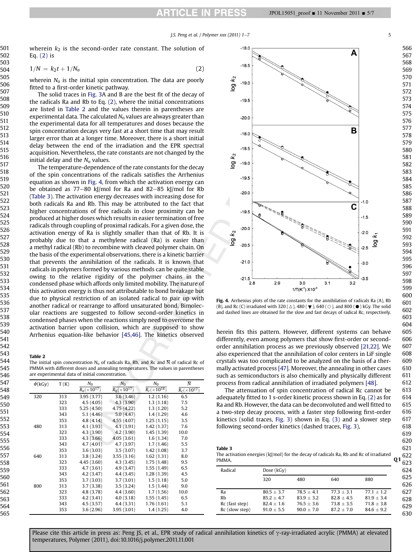<span id="page-6-0"></span>wherein  $k_2$  is the second-order rate constant. The solution of Eq. (2) is

 $1/N = k_2t + 1/N_0$  (2)

wherein  $N_0$  is the initial spin concentration. The data are poorly fitted to a first-order kinetic pathway.

The solid traces in [Fig. 3A](#page-5-0) and B are the best fit of the decay of the radicals Ra and Rb to Eq. (2), where the initial concentrations are listed in Table 2 and the values therein in parentheses are experimental data. The calculated  $N_0$  values are always greater than the experimental data for all temperatures and doses because the spin concentration decays very fast at a short time that may result larger error than at a longer time. Moreover, there is a short initial delay between the end of the irradiation and the EPR spectral acquisition. Nevertheless, the rate constants are not changed by the initial delay and the  $N_0$  values.

The temperature-dependence of the rate constants for the decay of the spin concentrations of the radicals satisfies the Arrhenius equation as shown in Fig. 4, from which the activation energy can be obtained as  $77-80$  kJ/mol for Ra and  $82-85$  kJ/mol for Rb (Table 3). The activation energy decreases with increasing dose for both radicals Ra and Rb. This may be attributed to the fact that higher concentrations of free radicals in close proximity can be produced at higher doses which results in easier termination of free radicals through coupling of proximal radicals. For a given dose, the activation energy of Ra is slightly smaller than that of Rb. It is probably due to that a methylene radical (Ra) is easier than a methyl radical (Rb) to recombine with cleaved polymer chain. On the basis of the experimental observations, there is a kinetic barrier that prevents the annihilation of the radicals. It is known that radicals in polymers formed by various methods can be quite stable owing to the relative rigidity of the polymer chains in the condensed phase which affords only limited mobility. The nature of this activation energy is thus not attributable to bond breakage but due to physical restriction of an isolated radical to pair up with another radical or rearrange to afford unsaturated bond. Bimolecular reactions are suggested to follow second-order kinetics in condensed phases when the reactions simply need to overcome the activation barrier upon collision, which are supposed to show

Table 2

The initial spin concentration  $N_0$  of radicals Ra, Rb, and Rc and  $\overline{N}$  of radical Rc of PMMA with different doses and annealing temperatures. The values in parentheses are experimental data of initial concentration.

| $\Phi(kGy)$ | T(K) | $N_0$<br>$R_a (\times 10^{17})$ | $N_0$<br>$R_h(\times 10^{17})$ | $N_0$<br>$R_c(\times 10^{18})$ | $\overline{N}$<br>$R_c(\times 10^{17})$ |  |
|-------------|------|---------------------------------|--------------------------------|--------------------------------|-----------------------------------------|--|
| 320         | 313  | 3.95 (3.77)                     | 3.6(3.46)                      | 1.2(1.16)                      | 6.5                                     |  |
|             | 323  | 4.5(4.05)                       | 4.3(3.90)                      | 1.3(1.18)                      | 7.5                                     |  |
|             | 333  | 5.25(4.50)                      | 4.75 (4.22)                    | 1.3(1.20)                      | 5.2                                     |  |
|             | 343  | 5.1(4.46)                       | 5.0(4.47)                      | 1.4(1.29)                      | 4.6                                     |  |
|             | 353  | 4.8(4.14)                       | 4.55(4.07)                     | 1.25(1.15)                     | 3.5                                     |  |
| 480         | 313  | 4.1(3.93)                       | 4.1(3.91)                      | 1.42(1.37)                     | 7.6                                     |  |
|             | 323  | 4.3(3.90)                       | 4.2(3.90)                      | 1.45(1.39)                     | 10.0                                    |  |
|             | 333  | 4.3(3.66)                       | 4.05(3.61)                     | 1.6(1.34)                      | 7.0                                     |  |
|             | 343  | 4.7(4.01)                       | 4.7 (3.97)                     | 1.7(1.46)                      | 5.5                                     |  |
|             | 353  | 3.6(3.03)                       | 3.5(3.07)                      | 1.42(1.08)                     | 3.7                                     |  |
| 640         | 313  | 3.8(3.24)                       | 3.55(3.16)                     | 1.62(1.31)                     | 8.0                                     |  |
|             | 323  | 4.45(3.60)                      | 4.3(3.45)                      | 1.75(1.48)                     | 9.5                                     |  |
|             | 333  | 4.7(3.61)                       | 4.9(3.47)                      | 1.55(1.49)                     | 6.5                                     |  |
|             | 343  | 4.2(3.47)                       | 4.4(3.45)                      | 1.28(1.39)                     | 4.5                                     |  |
|             | 353  | 3.7(3.03)                       | 3.7(3.01)                      | 1.5(1.18)                      | 5.0                                     |  |
| 800         | 313  | 3.7(3.38)                       | 3.5(3.24)                      | 1.5(1.44)                      | 9.0                                     |  |
|             | 323  | 4.8 (3.78)                      | 4.4(3.60)                      | 1.7(1.56)                      | 10.0                                    |  |
|             | 333  | 4.2(3.41)                       | 4.0(3.18)                      | 1.55(1.45)                     | 6.5                                     |  |
|             | 343  | 4.5(3.57)                       | 4.4(3.31)                      | 1.76(1.61)                     | 5.1                                     |  |
|             | 353  | 3.6(2.96)                       | 3.95(3.01)                     | 1.4(1.25)                      | 4.0                                     |  |



Fig. 4. Arrhenius plots of the rate constants for the annihilation of radicals Ra (A), Rb (B), and Rc (C) irradiated with 320 ( $\triangle$ ), 480 ( $\blacktriangledown$ ), 640 ( $\bigcirc$ ), and 800 ( $\blacktriangledown$ ) kGy. The solid and dashed lines are obtained for the slow and fast decays of radical Rc, respectively.

Arrhenius equation-like behavior [\[45,46\]](#page-8-0). The kinetics observed herein fits this pattern. However, different systems can behave differently, even among polymers that show first-order or secondorder annihilation process as we previously observed [\[21,22\]](#page-8-0). We also experienced that the annihilation of color centers in LiF single crystals was too complicated to be analyzed on the basis of a thermally activated process [\[47\]](#page-8-0). Moreover, the annealing in other cases such as semiconductors is also chemically and physically different process from radical annihilation of irradiated polymers [\[48\].](#page-8-0)

> The attenuation of spin concentration of radical Rc cannot be adequately fitted to 1 s-order kinetic process shown in Eq. (2) as for Ra and Rb. However, the data can be deconvoluted and well fitted to a two-step decay process, with a faster step following first-order kinetics (solid traces, [Fig. 3\)](#page-5-0) shown in Eq. [\(3\)](#page-7-0) and a slower step following second-order kinetics (dashed traces, [Fig. 3](#page-5-0)),

### Table 3

The activation energies (kJ/mol) for the decay of radicals Ra, Rb and Rc of irradiated **[Q1](#page-0-0)**<br>PMMA.

| Radical        | Dose (kGy)     |                |              |                |  |
|----------------|----------------|----------------|--------------|----------------|--|
|                | 320            | 480            | 640          | 880            |  |
| Ra             | $80.5 \pm 3.7$ | $78.5 + 4.1$   | $77.3 + 3.1$ | $77.1 + 1.2$   |  |
| Rb             | $85.2 + 4.7$   | $83.9 + 3.2$   | $82.8 + 4.5$ | $81.9 + 3.4$   |  |
| Rc (fast step) | $82.4 + 1.6$   | $76.5 + 3.6$   | $73.8 + 3.5$ | $71.8 + 3.8$   |  |
| Rc (slow step) | $91.0 \pm 5.5$ | $90.0 \pm 7.0$ | $87.2 + 7.0$ | $84.6 \pm 9.2$ |  |

622 623

566 567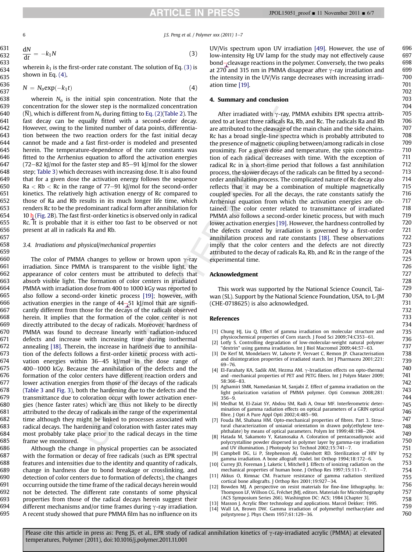<span id="page-7-0"></span>

631

657 658 659 6  $\blacksquare$  J.S. Peng et al. / Polymer xxx (2011) 1-7

$$
\frac{dN}{dt} = -k_1 N \tag{3}
$$

wherein  $k_1$  is the first-order rate constant. The solution of Eq. (3) is shown in Eq. (4),

$$
N = N_0 \exp(-k_1 t) \tag{4}
$$

wherein  $N_0$  is the initial spin concentration. Note that the concentration for the slower step is the normalized concentration  $(\overline{N})$ , which is different from  $N_0$  during fitting to [Eq. \(2\)\(Table 2](#page-6-0)). The fast decay can be equally fitted with a second-order decay. However, owing to the limited number of data points, differentiation between the two reaction orders for the fast initial decay cannot be made and a fast first-order is modeled and presented herein. The temperature-dependence of the rate constants was fitted to the Arrhenius equation to afford the activation energies  $(72-82$  kJ/mol for the faster step and 85-91 kJ/mol for the slower step; [Table 3\)](#page-6-0) which decreases with increasing dose. It is also found that for a given dose the activation energy follows the sequence  $Ra < Rb < Re$  in the range of 77–91 kJ/mol for the second-order kinetics. The relatively high activation energy of Rc compared to those of Ra and Rb results in its much longer life time, which renders Rc to be the predominant radical form after annihilation for 10  $h$  [\(Fig. 2B](#page-4-0)). The fast first-order kinetics is observed only in radical Rc. It is probable that it is either too fast to be observed or not present at all in radicals Ra and Rb. 638 639 640 641 642 643 644 645 646 647 648 649 650 651 652 653 654 655 656

### 3.4. Irradiations and physical/mechanical properties

The color of PMMA changes to yellow or brown upon  $\gamma$ -ray irradiation. Since PMMA is transparent to the visible light, the appearance of color centers must be attributed to defects that absorb visible light. The formation of color centers in irradiated PMMA with irradiation dose from 400 to 1000 kGy was reported to also follow a second-order kinetic process [\[19\]](#page-8-0); however, with activation energies in the range of  $44-51$  kJ/mol that are significantly different from those for the decays of the radicals observed herein. It implies that the formation of the color center is not directly attributed to the decay of radicals. Moreover, hardness of PMMA was found to decrease linearly with radiation-induced defects and increase with increasing time during isothermal annealing [\[18\].](#page-8-0) Therein, the increase in hardness due to annihilation of the defects follows a first-order kinetic process with activation energies within  $36-45$  kJ/mol in the dose range of 400-1000 kGy. Because the annihilation of the defects and the formation of the color centers have different reaction orders and lower activation energies from those of the decays of the radicals ([Table 3](#page-6-0) and [Fig. 3\)](#page-5-0), both the hardening due to the defects and the transmittance due to coloration occur with lower activation energies (hence faster rates) which are thus not likely to be directly attributed to the decay of radicals in the range of the experimental time although they might be linked to processes associated with radical decays. The hardening and coloration with faster rates may most probably take place prior to the radical decays in the time frame we monitored. 660 661 662 663 664 665 666 667 668 669 670 671 672 673 674 675 676 677 678 679 680 681 682 683 684 685

Although the change in physical properties can be associated with the formation or decay of free radicals (such as EPR spectral features and intensities due to the identity and quantity of radicals, change in hardness due to bond breakage or crosslinking, and detection of color centers due to formation of defects), the changes occurring outside the time frame of the radical decays herein would not be detected. The different rate constants of some physical properties from those of the radical decays herein suggest their different mechanisms and/or time frames during  $\gamma$ -ray irradiation. A recent study showed that pure PMMA film has no influence on its 686 687 688 689 690 691 692 693 694 695

UV/Vis spectrum upon UV irradiation [\[49\].](#page-8-0) However, the use of low-intensity Hg UV lamp for the study may not effectively cause  $bond$  $\neg$ cleavage reactions in the polymer. Conversely, the two peaks at 270 and 315 nm in PMMA disappear after  $\gamma$ -ray irradiation and the intensity in the UV/Vis range decreases with increasing irradiation time [\[19\]](#page-8-0).

#### 4. Summary and conclusion

After irradiated with  $\gamma$ -ray, PMMA exhibits EPR spectra attributed to at least three radicals Ra, Rb, and Rc. The radicals Ra and Rb are attributed to the cleavage of the main chain and the side chains. Rc has a broad single-line spectra which is probably attributed to the presence of magnetic coupling between/among radicals in close proximity. For a given dose and temperature, the spin concentration of each radical decreases with time. With the exception of radical Rc in a short-time period that follows a fast annihilation process, the slower decays of the radicals can be fitted by a secondorder annihilation process. The complicated nature of Rc decay also reflects that it may be a combination of multiple magnetically coupled species. For all the decays, the rate constants satisfy the Arrhenius equation from which the activation energies are obtained. The color center related to transmittance of irradiated PMMA also follows a second-order kinetic process, but with much lower activation energies [\[19\]](#page-8-0). However, the hardness controlled by the defects created by irradiation is governed by a first-order annihilation process and rate constants [\[18\].](#page-8-0) These observations imply that the color centers and the defects are not directly attributed to the decay of radicals Ra, Rb, and Rc in the range of the experimental time.

#### Acknowledgment

This work was supported by the National Science Council, Taiwan (SL). Support by the National Science Foundation, USA, to L-JM (CHE-0718625) is also acknowledged.

#### References

- [1] Chung HJ, Liu Q. Effect of gamma irradiation on molecular structure and physicochemical properties of Corn starch. J Food Sci 2009;74:C353-61.
- Lotfy S. Controlling degradation of low-molecular-weight natural polymer "dextrin" using gamma irradiation. Int J Biol Macromol 2009;44:57-63.
- [3] De Kerf M, Mondelaers W, Lahorte P, Vervaet C, Remon JP. Characterisation and disintegration properties of irradiated starch. Int J Pharmaceu 2001;221: 69-76
- [4] El-Farahaty KA, Sadik AM, Hezma AM. g-Irradiation effects on opto-thermal and -mechanical properties of PET and PETG fibers. Int J Polym Mater 2009; 58:366-83.
- [5] Aghamiri SMR, Namedanian M, Sanjabi Z. Effect of gamma irradiation on the light polarization variation of PMMA polymer. Opti Commun 2008;281:  $356 - 9$
- [6] Medhat M, El-Zaiat SY, Abdou SM, Radi A, Omar MF. Interferometric determination of gamma radiation effects on optical parameters of a GRIN optical fibre. J Opti A Pure Appl Opti 2002;4:485-90.
- [7] Fouda IM, Shabana HM. Opto-mechanical properties of fibres. Part 3. Structural characterization of uniaxial orientation in drawn poly(ethylene terephthalate) by means of optical parameters. Polym Int 1999;48:198-204.
- [8] Hatada M, Sakamoto Y, Katanosaka A. Coloration of pentacosadiynoic acid polycrystalline powder dispersed in polymer layer by gamma-ray irradiation and UV illumination. J Photopoly Sci Technol 2002;15:741-7.
- Campbell DG, Li P, Stephenson AJ, Oakeshott RD. Sterilization of HIV by gamma irradiation. A bone allograft model. Int Orthop 1994;18:172-6.
- [10] Currey JD, Foreman J, Laketic I, Mitchell J. Effects of ionizing radiation on the mechanical properties of human bone. J Orthop Res 1997;15:111-7.
- [11] Akkus O, Rimnac CM. Fracture resistance of gamma radiation sterilized cortical bone allografts. J Orthop Res 2001;19:927–34.
- [12] Bowden MJ. A perspective on resist materials for fine-line lithography. In: Thompson LF, Willson CG, Fréchet JMJ, editors. Materials for Microlithography (ACS Symposium Series 266). Washington DC: ACS; 1984 [Chapter 3].
- 13] Masson J. Acrylic fiber technology and applications. Marcel Dekker; 1995. [14] Wall LA, Brown DW. Gamma irradiation of polymethyl methacrylate and polystyrene J. Phys Chem 1957;61:129-36.

Please cite this article in press as: Peng JS, et al., EPR study of radical annihilation kinetics of  $\gamma$ -ray-irradiated acrylic (PMMA) at elevated temperatures, Polymer (2011), doi:10.1016/j.polymer.2011.11.001